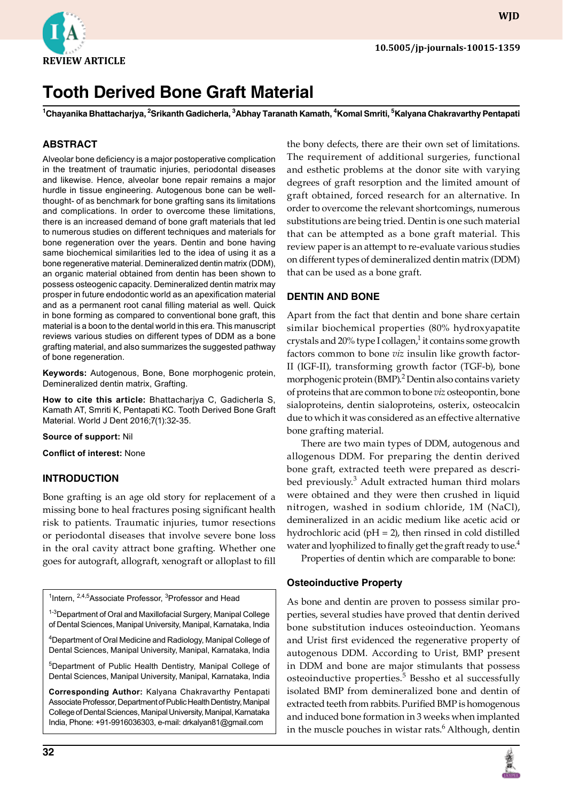

**WJD**

# **Tooth Derived Bone Graft Material**

**<sup>1</sup>Chayanika Bhattacharjya, 2Srikanth Gadicherla, 3Abhay Taranath Kamath, 4Komal Smriti, 5Kalyana Chakravarthy Pentapati**

## **ABSTRACT**

Alveolar bone deficiency is a major postoperative complication in the treatment of traumatic injuries, periodontal diseases and likewise. Hence, alveolar bone repair remains a major hurdle in tissue engineering. Autogenous bone can be wellthought- of as benchmark for bone grafting sans its limitations and complications. In order to overcome these limitations, there is an increased demand of bone graft materials that led to numerous studies on different techniques and materials for bone regeneration over the years. Dentin and bone having same biochemical similarities led to the idea of using it as a bone regenerative material. Demineralized dentin matrix (DDM), an organic material obtained from dentin has been shown to possess osteogenic capacity. Demineralized dentin matrix may prosper in future endodontic world as an apexification material and as a permanent root canal filling material as well. Quick in bone forming as compared to conventional bone graft, this material is a boon to the dental world in this era. This manuscript reviews various studies on different types of DDM as a bone grafting material, and also summarizes the suggested pathway of bone regeneration.

**Keywords:** Autogenous, Bone, Bone morphogenic protein, Demineralized dentin matrix, Grafting.

**How to cite this article:** Bhattacharjya C, Gadicherla S, Kamath AT, Smriti K, Pentapati KC. Tooth Derived Bone Graft Material. World J Dent 2016;7(1):32-35.

**Source of support:** Nil

**Conflict of interest:** None

#### **INTRODUCTION**

Bone grafting is an age old story for replacement of a missing bone to heal fractures posing significant health risk to patients. Traumatic injuries, tumor resections or periodontal diseases that involve severe bone loss in the oral cavity attract bone grafting. Whether one goes for autograft, allograft, xenograft or alloplast to fill

| <sup>1</sup> Intern, <sup>2,4,5</sup> Associate Professor, <sup>3</sup> Professor and Head                                                        |
|---------------------------------------------------------------------------------------------------------------------------------------------------|
| <sup>1-3</sup> Department of Oral and Maxillofacial Surgery, Manipal College<br>of Dental Sciences, Manipal University, Manipal, Karnataka, India |
| <sup>4</sup> Department of Oral Medicine and Radiology, Manipal College of<br>Dental Sciences, Manipal University, Manipal, Karnataka, India      |
| <sup>5</sup> Department of Public Health Dentistry, Manipal College of<br>Dental Sciences, Manipal University, Manipal, Karnataka, India          |
| Corresponding Author: Kalyana Chakravarthy Pentapati<br>Associate Professor, Department of Public Health Dentistry, Manipal                       |

College of Dental Sciences, Manipal University, Manipal, Karnataka India, Phone: +91-9916036303, e-mail: drkalyan81@gmail.com

the bony defects, there are their own set of limitations. The requirement of additional surgeries, functional and esthetic problems at the donor site with varying degrees of graft resorption and the limited amount of graft obtained, forced research for an alternative. In order to overcome the relevant shortcomings, numerous substitutions are being tried. Dentin is one such material that can be attempted as a bone graft material. This review paper is an attempt to re-evaluate various studies on different types of demineralized dentin matrix (DDM) that can be used as a bone graft.

#### **DENTIN AND BONE**

Apart from the fact that dentin and bone share certain similar biochemical properties (80% hydroxyapatite crystals and 20% type I collagen,<sup>1</sup> it contains some growth factors common to bone *viz* insulin like growth factor-II (IGF-II), transforming growth factor (TGF-b), bone morphogenic protein (BMP).<sup>2</sup> Dentin also contains variety of proteins that are common to bone *viz* osteopontin, bone sialoproteins, dentin sialoproteins, osterix, osteocalcin due to which it was considered as an effective alternative bone grafting material.

There are two main types of DDM, autogenous and allogenous DDM. For preparing the dentin derived bone graft, extracted teeth were prepared as described previously.<sup>3</sup> Adult extracted human third molars were obtained and they were then crushed in liquid nitrogen, washed in sodium chloride, 1M (NaCl), demineralized in an acidic medium like acetic acid or hydrochloric acid ( $pH = 2$ ), then rinsed in cold distilled water and lyophilized to finally get the graft ready to use.<sup>4</sup>

Properties of dentin which are comparable to bone:

#### **Osteoinductive Property**

As bone and dentin are proven to possess similar properties, several studies have proved that dentin derived bone substitution induces osteoinduction. Yeomans and Urist first evidenced the regenerative property of autogenous DDM. According to Urist, BMP present in DDM and bone are major stimulants that possess osteoinductive properties.<sup>5</sup> Bessho et al successfully isolated BMP from demineralized bone and dentin of extracted teeth from rabbits. Purified BMP is homogenous and induced bone formation in 3 weeks when implanted in the muscle pouches in wistar rats. $6$  Although, dentin

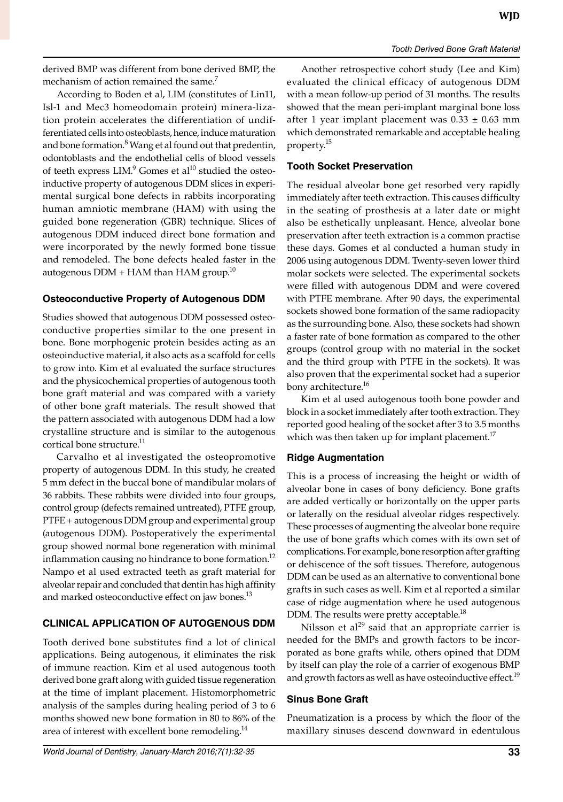derived BMP was different from bone derived BMP, the mechanism of action remained the same.<sup>7</sup>

According to Boden et al, LIM (constitutes of Lin11, Isl-1 and Mec3 homeodomain protein) minera-lization protein accelerates the differentiation of undifferen tiated cells into osteoblasts, hence, induce maturation and bone formation.<sup>8</sup> Wang et al found out that predentin, odontoblasts and the endothelial cells of blood vessels of teeth express  $LM$ . $9$  Gomes et al $^{10}$  studied the osteoinductive property of autogenous DDM slices in experimental surgical bone defects in rabbits incorporating human amniotic membrane (HAM) with using the guided bone regeneration (GBR) technique. Slices of autogenous DDM induced direct bone formation and were incorporated by the newly formed bone tissue and remodeled. The bone defects healed faster in the autogenous  $DDM + HAM$  than  $HAM$  group.<sup>10</sup>

## **Osteoconductive Property of Autogenous DDM**

Studies showed that autogenous DDM possessed osteoconductive properties similar to the one present in bone. Bone morphogenic protein besides acting as an osteoinductive material, it also acts as a scaffold for cells to grow into. Kim et al evaluated the surface structures and the physicochemical properties of autogenous tooth bone graft material and was compared with a variety of other bone graft materials. The result showed that the pattern associated with autogenous DDM had a low crystalline structure and is similar to the autogenous cortical bone structure.<sup>11</sup>

Carvalho et al investigated the osteopromotive property of autogenous DDM. In this study, he created 5 mm defect in the buccal bone of mandibular molars of 36 rabbits. These rabbits were divided into four groups, control group (defects remained untreated), PTFE group, PTFE + autogenous DDM group and experimental group (autogenous DDM). Postoperatively the experimental group showed normal bone regeneration with minimal inflammation causing no hindrance to bone formation.<sup>12</sup> Nampo et al used extracted teeth as graft material for alveolar repair and concluded that dentin has high affinity and marked osteoconductive effect on jaw bones.<sup>13</sup>

# **CLINICAL APPLICATION OF AUTOGENOUS DDM**

Tooth derived bone substitutes find a lot of clinical applications. Being autogenous, it eliminates the risk of immune reaction. Kim et al used autogenous tooth derived bone graft along with guided tissue regeneration at the time of implant placement. Histomorphometric analysis of the samples during healing period of 3 to 6 months showed new bone formation in 80 to 86% of the area of interest with excellent bone remodeling.<sup>14</sup>

Another retrospective cohort study (Lee and Kim) evaluated the clinical efficacy of autogenous DDM with a mean follow-up period of 31 months. The results showed that the mean peri-implant marginal bone loss after 1 year implant placement was  $0.33 \pm 0.63$  mm which demonstrated remarkable and acceptable healing property.<sup>15</sup>

# **Tooth Socket Preservation**

The residual alveolar bone get resorbed very rapidly immediately after teeth extraction. This causes difficulty in the seating of prosthesis at a later date or might also be esthetically unpleasant. Hence, alveolar bone preservation after teeth extraction is a common practise these days. Gomes et al conducted a human study in 2006 using autogenous DDM. Twenty-seven lower third molar sockets were selected. The experimental sockets were filled with autogenous DDM and were covered with PTFE membrane. After 90 days, the experimental sockets showed bone formation of the same radiopacity as the surrounding bone. Also, these sockets had shown a faster rate of bone formation as compared to the other groups (control group with no material in the socket and the third group with PTFE in the sockets). It was also proven that the experimental socket had a superior bony architecture.<sup>16</sup>

Kim et al used autogenous tooth bone powder and block in a socket immediately after tooth extraction. They reported good healing of the socket after 3 to 3.5 months which was then taken up for implant placement.<sup>17</sup>

# **Ridge Augmentation**

This is a process of increasing the height or width of alveolar bone in cases of bony deficiency. Bone grafts are added vertically or horizontally on the upper parts or laterally on the residual alveolar ridges respectively. These processes of augmenting the alveolar bone require the use of bone grafts which comes with its own set of complications. For example, bone resorption after grafting or dehiscence of the soft tissues. Therefore, autogenous DDM can be used as an alternative to conventional bone grafts in such cases as well. Kim et al reported a similar case of ridge augmentation where he used autogenous DDM. The results were pretty acceptable.<sup>18</sup>

Nilsson et al $^{29}$  said that an appropriate carrier is needed for the BMPs and growth factors to be incorporated as bone grafts while, others opined that DDM by itself can play the role of a carrier of exogenous BMP and growth factors as well as have osteoinductive effect.<sup>19</sup>

# **Sinus Bone Graft**

Pneumatization is a process by which the floor of the maxillary sinuses descend downward in edentulous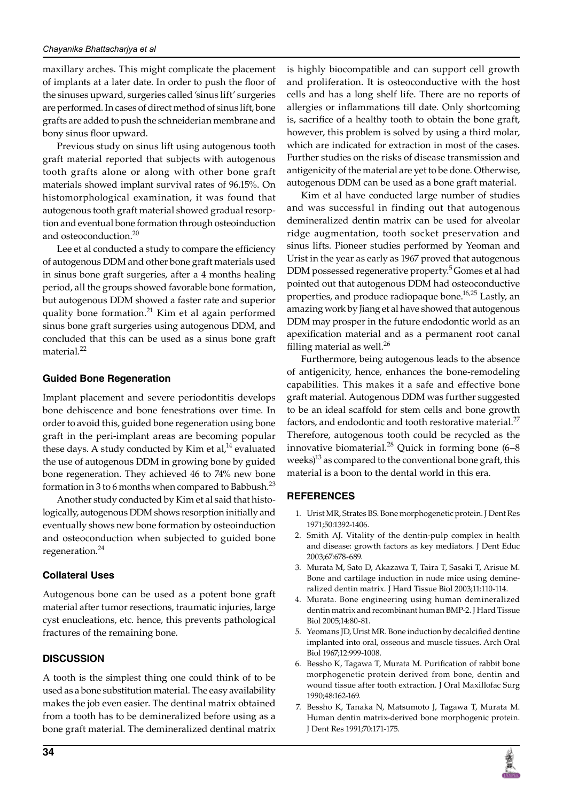maxillary arches. This might complicate the placement of implants at a later date. In order to push the floor of the sinuses upward, surgeries called 'sinus lift' surgeries are performed. In cases of direct method of sinus lift, bone grafts are added to push the schneiderian membrane and bony sinus floor upward.

Previous study on sinus lift using autogenous tooth graft material reported that subjects with autogenous tooth grafts alone or along with other bone graft materials showed implant survival rates of 96.15%. On histomorphological examination, it was found that autogenous tooth graft material showed gradual resorption and eventual bone formation through osteoinduction and osteoconduction.<sup>20</sup>

Lee et al conducted a study to compare the efficiency of autogenous DDM and other bone graft materials used in sinus bone graft surgeries, after a 4 months healing period, all the groups showed favorable bone formation, but autogenous DDM showed a faster rate and superior quality bone formation.<sup>21</sup> Kim et al again performed sinus bone graft surgeries using autogenous DDM, and concluded that this can be used as a sinus bone graft material.<sup>22</sup>

## **Guided Bone Regeneration**

Implant placement and severe periodontitis develops bone dehiscence and bone fenestrations over time. In order to avoid this, guided bone regeneration using bone graft in the peri-implant areas are becoming popular these days. A study conducted by Kim et al, $^{14}$  evaluated the use of autogenous DDM in growing bone by guided bone regeneration. They achieved 46 to 74% new bone formation in 3 to 6 months when compared to Babbush.<sup>23</sup>

Another study conducted by Kim et al said that histologically, autogenous DDM shows resorption initially and eventually shows new bone formation by osteoinduction and osteoconduction when subjected to guided bone regeneration.<sup>24</sup>

## **Collateral Uses**

Autogenous bone can be used as a potent bone graft material after tumor resections, traumatic injuries, large cyst enucleations, etc. hence, this prevents pathological fractures of the remaining bone.

## **DISCUSSION**

A tooth is the simplest thing one could think of to be used as a bone substitution material. The easy availability makes the job even easier. The dentinal matrix obtained from a tooth has to be demineralized before using as a bone graft material. The demineralized dentinal matrix is highly biocompatible and can support cell growth and proliferation. It is osteoconductive with the host cells and has a long shelf life. There are no reports of allergies or inflammations till date. Only shortcoming is, sacrifice of a healthy tooth to obtain the bone graft, however, this problem is solved by using a third molar, which are indicated for extraction in most of the cases. Further studies on the risks of disease transmission and antigenicity of the material are yet to be done. Otherwise, autogenous DDM can be used as a bone graft material.

Kim et al have conducted large number of studies and was successful in finding out that autogenous demineralized dentin matrix can be used for alveolar ridge augmentation, tooth socket preservation and sinus lifts. Pioneer studies performed by Yeoman and Urist in the year as early as 1967 proved that autogenous DDM possessed regenerative property.<sup>5</sup> Gomes et al had pointed out that autogenous DDM had osteoconductive properties, and produce radiopaque bone.<sup>16,25</sup> Lastly, an amazing work by Jiang et al have showed that autogenous DDM may prosper in the future endodontic world as an apexification material and as a permanent root canal filling material as well. $^{26}$ 

Furthermore, being autogenous leads to the absence of antigenicity, hence, enhances the bone-remodeling capabilities. This makes it a safe and effective bone graft material. Autogenous DDM was further suggested to be an ideal scaffold for stem cells and bone growth factors, and endodontic and tooth restorative material.<sup>27</sup> Therefore, autogenous tooth could be recycled as the innovative biomaterial.<sup>28</sup> Quick in forming bone  $(6-8)$ weeks) $13$  as compared to the conventional bone graft, this material is a boon to the dental world in this era.

## **REFERENCES**

- 1. Urist MR, Strates BS. Bone morphogenetic protein. J Dent Res 1971;50:1392-1406.
- 2. Smith AJ. Vitality of the dentin-pulp complex in health and disease: growth factors as key mediators. J Dent Educ 2003;67:678-689.
- 3. Murata M, Sato D, Akazawa T, Taira T, Sasaki T, Arisue M. Bone and cartilage induction in nude mice using demineralized dentin matrix. J Hard Tissue Biol 2003;11:110-114.
- 4. Murata. Bone engineering using human demineralized dentin matrix and recombinant human BMP-2. J Hard Tissue Biol 2005;14:80-81.
- 5. Yeomans JD, Urist MR. Bone induction by decalcified dentine implanted into oral, osseous and muscle tissues. Arch Oral Biol 1967;12:999-1008.
- 6. Bessho K, Tagawa T, Murata M. Purification of rabbit bone morphogenetic protein derived from bone, dentin and wound tissue after tooth extraction. J Oral Maxillofac Surg 1990;48:162-169.
- 7. Bessho K, Tanaka N, Matsumoto J, Tagawa T, Murata M. Human dentin matrix-derived bone morphogenic protein. J Dent Res 1991;70:171-175.